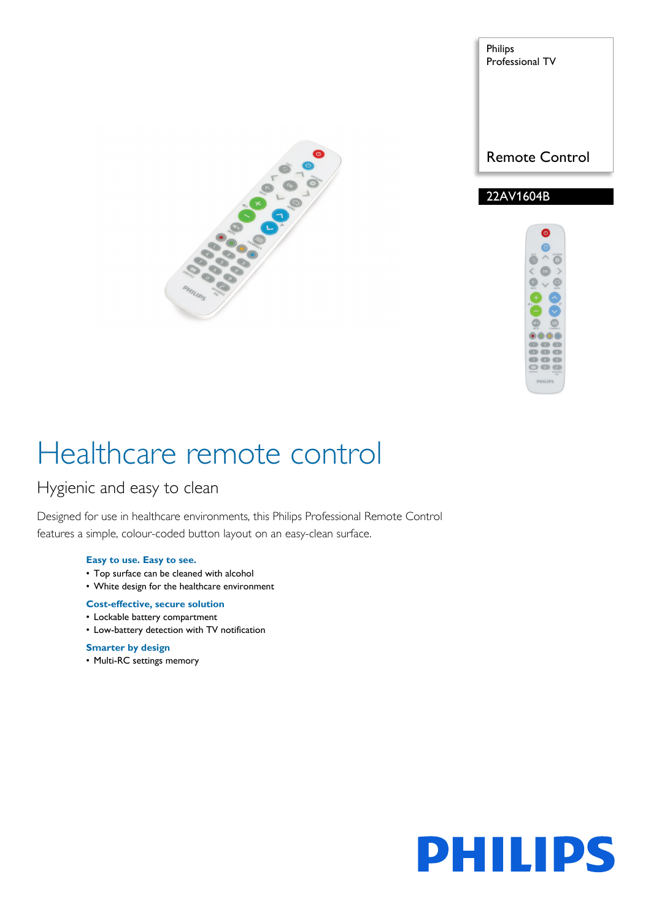

Philips Professional TV

Remote Control

# 22AV1604B



# Healthcare remote control

# Hygienic and easy to clean

Designed for use in healthcare environments, this Philips Professional Remote Control features a simple, colour-coded button layout on an easy-clean surface.

### **Easy to use. Easy to see.**

- Top surface can be cleaned with alcohol
- White design for the healthcare environment

# **Cost-effective, secure solution**

- Lockable battery compartment
- Low-battery detection with TV notification

# **Smarter by design**

• Multi-RC settings memory